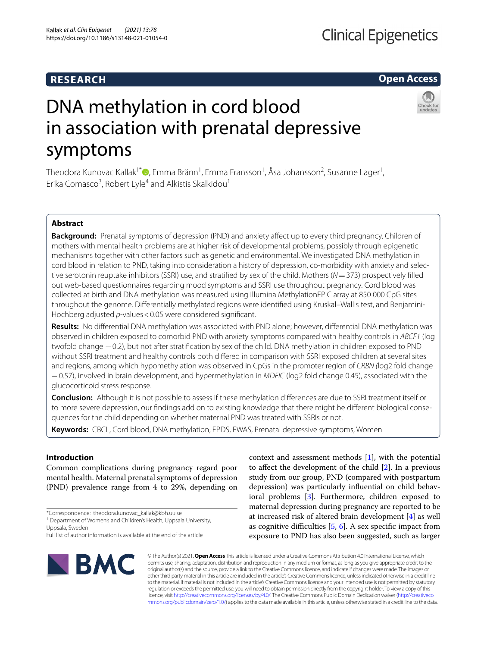## **RESEARCH**

**Open Access**

# DNA methylation in cord blood in association with prenatal depressive symptoms



Theodora Kunovac Kallak<sup>1\*</sup>®[,](http://orcid.org/0000-0002-2112-8674) Emma Bränn<sup>1</sup>, Emma Fransson<sup>1</sup>, Åsa Johansson<sup>2</sup>, Susanne Lager<sup>1</sup>, Erika Comasco<sup>3</sup>, Robert Lyle<sup>4</sup> and Alkistis Skalkidou<sup>1</sup>

## **Abstract**

**Background:** Prenatal symptoms of depression (PND) and anxiety afect up to every third pregnancy. Children of mothers with mental health problems are at higher risk of developmental problems, possibly through epigenetic mechanisms together with other factors such as genetic and environmental. We investigated DNA methylation in cord blood in relation to PND, taking into consideration a history of depression, co-morbidity with anxiety and selective serotonin reuptake inhibitors (SSRI) use, and stratifed by sex of the child. Mothers (*N*=373) prospectively flled out web-based questionnaires regarding mood symptoms and SSRI use throughout pregnancy. Cord blood was collected at birth and DNA methylation was measured using Illumina MethylationEPIC array at 850 000 CpG sites throughout the genome. Diferentially methylated regions were identifed using Kruskal–Wallis test, and Benjamini-Hochberg adjusted *p*-values < 0.05 were considered significant.

**Results:** No diferential DNA methylation was associated with PND alone; however, diferential DNA methylation was observed in children exposed to comorbid PND with anxiety symptoms compared with healthy controls in *ABCF1* (log twofold change −0.2), but not after stratifcation by sex of the child. DNA methylation in children exposed to PND without SSRI treatment and healthy controls both difered in comparison with SSRI exposed children at several sites and regions, among which hypomethylation was observed in CpGs in the promoter region of *CRBN (*log2 fold change −0.57), involved in brain development, and hypermethylation in *MDFIC* (log2 fold change 0.45), associated with the glucocorticoid stress response.

**Conclusion:** Although it is not possible to assess if these methylation diferences are due to SSRI treatment itself or to more severe depression, our fndings add on to existing knowledge that there might be diferent biological consequences for the child depending on whether maternal PND was treated with SSRIs or not.

**Keywords:** CBCL, Cord blood, DNA methylation, EPDS, EWAS, Prenatal depressive symptoms, Women

## **Introduction**

Common complications during pregnancy regard poor mental health. Maternal prenatal symptoms of depression (PND) prevalence range from 4 to 29%, depending on

Full list of author information is available at the end of the article



context and assessment methods [[1](#page-11-0)], with the potential to afect the development of the child [[2\]](#page-11-1). In a previous study from our group, PND (compared with postpartum depression) was particularly infuential on child behavioral problems [[3\]](#page-11-2). Furthermore, children exposed to maternal depression during pregnancy are reported to be at increased risk of altered brain development [\[4](#page-11-3)] as well as cognitive difficulties  $[5, 6]$  $[5, 6]$  $[5, 6]$  $[5, 6]$ . A sex specific impact from exposure to PND has also been suggested, such as larger

© The Author(s) 2021. **Open Access** This article is licensed under a Creative Commons Attribution 4.0 International License, which permits use, sharing, adaptation, distribution and reproduction in any medium or format, as long as you give appropriate credit to the original author(s) and the source, provide a link to the Creative Commons licence, and indicate if changes were made. The images or other third party material in this article are included in the article's Creative Commons licence, unless indicated otherwise in a credit line to the material. If material is not included in the article's Creative Commons licence and your intended use is not permitted by statutory regulation or exceeds the permitted use, you will need to obtain permission directly from the copyright holder. To view a copy of this licence, visit [http://creativecommons.org/licenses/by/4.0/.](http://creativecommons.org/licenses/by/4.0/) The Creative Commons Public Domain Dedication waiver ([http://creativeco](http://creativecommons.org/publicdomain/zero/1.0/) [mmons.org/publicdomain/zero/1.0/](http://creativecommons.org/publicdomain/zero/1.0/)) applies to the data made available in this article, unless otherwise stated in a credit line to the data.

<sup>\*</sup>Correspondence: theodora.kunovac\_kallak@kbh.uu.se

<sup>&</sup>lt;sup>1</sup> Department of Women's and Children's Health, Uppsala University, Uppsala, Sweden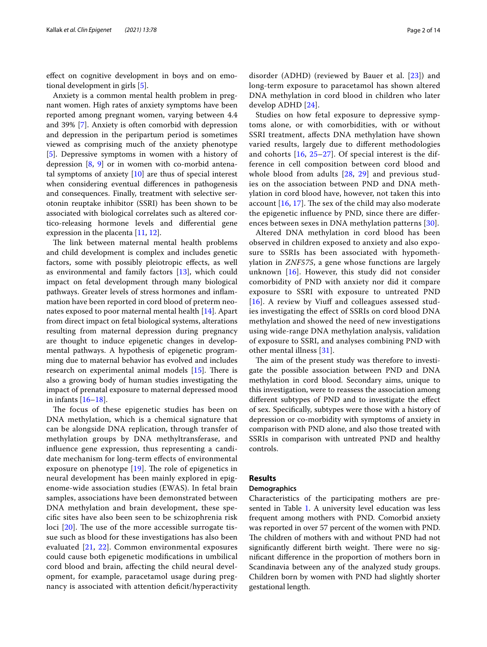efect on cognitive development in boys and on emotional development in girls [\[5](#page-11-4)].

Anxiety is a common mental health problem in pregnant women. High rates of anxiety symptoms have been reported among pregnant women, varying between 4.4 and 39% [\[7](#page-11-6)]. Anxiety is often comorbid with depression and depression in the peripartum period is sometimes viewed as comprising much of the anxiety phenotype [[5\]](#page-11-4). Depressive symptoms in women with a history of depression [[8,](#page-11-7) [9\]](#page-12-0) or in women with co-morbid antenatal symptoms of anxiety [[10](#page-12-1)] are thus of special interest when considering eventual diferences in pathogenesis and consequences. Finally, treatment with selective serotonin reuptake inhibitor (SSRI) has been shown to be associated with biological correlates such as altered cortico-releasing hormone levels and diferential gene expression in the placenta [[11,](#page-12-2) [12](#page-12-3)].

The link between maternal mental health problems and child development is complex and includes genetic factors, some with possibly pleiotropic efects, as well as environmental and family factors [[13\]](#page-12-4), which could impact on fetal development through many biological pathways. Greater levels of stress hormones and infammation have been reported in cord blood of preterm neonates exposed to poor maternal mental health [\[14](#page-12-5)]. Apart from direct impact on fetal biological systems, alterations resulting from maternal depression during pregnancy are thought to induce epigenetic changes in developmental pathways. A hypothesis of epigenetic programming due to maternal behavior has evolved and includes research on experimental animal models  $[15]$  $[15]$ . There is also a growing body of human studies investigating the impact of prenatal exposure to maternal depressed mood in infants [[16–](#page-12-7)[18](#page-12-8)].

The focus of these epigenetic studies has been on DNA methylation, which is a chemical signature that can be alongside DNA replication, through transfer of methylation groups by DNA methyltransferase, and infuence gene expression, thus representing a candidate mechanism for long-term efects of environmental exposure on phenotype  $[19]$  $[19]$  $[19]$ . The role of epigenetics in neural development has been mainly explored in epigenome-wide association studies (EWAS). In fetal brain samples, associations have been demonstrated between DNA methylation and brain development, these specifc sites have also been seen to be schizophrenia risk loci  $[20]$  $[20]$  $[20]$ . The use of the more accessible surrogate tissue such as blood for these investigations has also been evaluated [[21](#page-12-11), [22](#page-12-12)]. Common environmental exposures could cause both epigenetic modifcations in umbilical cord blood and brain, afecting the child neural development, for example, paracetamol usage during pregnancy is associated with attention deficit/hyperactivity disorder (ADHD) (reviewed by Bauer et al. [\[23](#page-12-13)]) and long-term exposure to paracetamol has shown altered DNA methylation in cord blood in children who later develop ADHD [\[24](#page-12-14)].

Studies on how fetal exposure to depressive symptoms alone, or with comorbidities, with or without SSRI treatment, afects DNA methylation have shown varied results, largely due to diferent methodologies and cohorts [[16,](#page-12-7) [25–](#page-12-15)[27\]](#page-12-16). Of special interest is the difference in cell composition between cord blood and whole blood from adults [\[28](#page-12-17), [29](#page-12-18)] and previous studies on the association between PND and DNA methylation in cord blood have, however, not taken this into account  $[16, 17]$  $[16, 17]$  $[16, 17]$ . The sex of the child may also moderate the epigenetic infuence by PND, since there are diferences between sexes in DNA methylation patterns [[30\]](#page-12-20).

Altered DNA methylation in cord blood has been observed in children exposed to anxiety and also exposure to SSRIs has been associated with hypomethylation in *ZNF575*, a gene whose functions are largely unknown  $[16]$  $[16]$ . However, this study did not consider comorbidity of PND with anxiety nor did it compare exposure to SSRI with exposure to untreated PND [[16](#page-12-7)]. A review by Viuff and colleagues assessed studies investigating the efect of SSRIs on cord blood DNA methylation and showed the need of new investigations using wide-range DNA methylation analysis, validation of exposure to SSRI, and analyses combining PND with other mental illness [\[31\]](#page-12-21).

The aim of the present study was therefore to investigate the possible association between PND and DNA methylation in cord blood. Secondary aims, unique to this investigation, were to reassess the association among diferent subtypes of PND and to investigate the efect of sex. Specifcally, subtypes were those with a history of depression or co-morbidity with symptoms of anxiety in comparison with PND alone, and also those treated with SSRIs in comparison with untreated PND and healthy controls.

## **Results**

## **Demographics**

Characteristics of the participating mothers are pre-sented in Table [1.](#page-2-0) A university level education was less frequent among mothers with PND. Comorbid anxiety was reported in over 57 percent of the women with PND. The children of mothers with and without PND had not significantly different birth weight. There were no signifcant diference in the proportion of mothers born in Scandinavia between any of the analyzed study groups. Children born by women with PND had slightly shorter gestational length.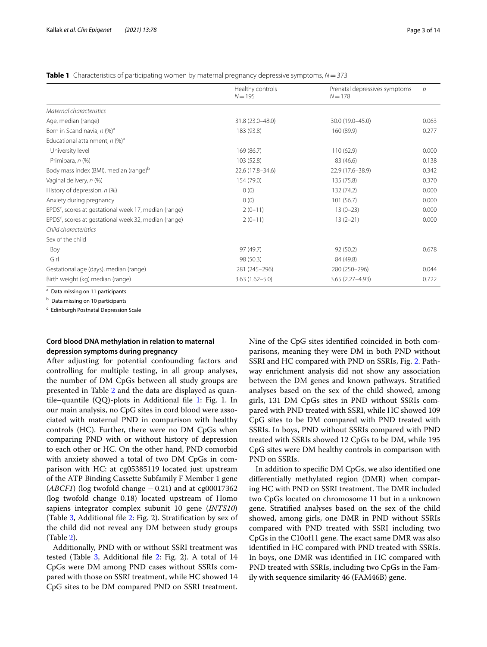<span id="page-2-0"></span>**Table 1** Characteristics of participating women by maternal pregnancy depressive symptoms, *N*=373

|                                                                   | Healthy controls<br>$N = 195$ | Prenatal depressives symptoms<br>$N = 178$ | $\mathcal{D}$ |
|-------------------------------------------------------------------|-------------------------------|--------------------------------------------|---------------|
| Maternal characteristics                                          |                               |                                            |               |
| Age, median (range)                                               | 31.8 (23.0-48.0)              | 30.0 (19.0-45.0)                           | 0.063         |
| Born in Scandinavia, n (%) <sup>a</sup>                           | 183 (93.8)                    | 160 (89.9)                                 | 0.277         |
| Educational attainment, $n$ (%) <sup>a</sup>                      |                               |                                            |               |
| University level                                                  | 169 (86.7)                    | 110(62.9)                                  | 0.000         |
| Primipara, n (%)                                                  | 103 (52.8)                    | 83 (46.6)                                  | 0.138         |
| Body mass index (BMI), median (range) <sup>b</sup>                | 22.6 (17.8-34.6)              | 22.9 (17.6-38.9)                           | 0.342         |
| Vaginal delivery, n (%)                                           | 154 (79.0)                    | 135 (75.8)                                 | 0.370         |
| History of depression, n (%)                                      | 0(0)                          | 132 (74.2)                                 | 0.000         |
| Anxiety during pregnancy                                          | 0(0)                          | 101(56.7)                                  | 0.000         |
| EPDS <sup>c</sup> , scores at gestational week 17, median (range) | $2(0-11)$                     | $13(0-23)$                                 | 0.000         |
| EPDS <sup>c</sup> , scores at gestational week 32, median (range) | $2(0-11)$                     | $13(2-21)$                                 | 0.000         |
| Child characteristics                                             |                               |                                            |               |
| Sex of the child                                                  |                               |                                            |               |
| Boy                                                               | 97 (49.7)                     | 92(50.2)                                   | 0.678         |
| Girl                                                              | 98 (50.3)                     | 84 (49.8)                                  |               |
| Gestational age (days), median (range)                            | 281 (245-296)                 | 280 (250-296)                              | 0.044         |
| Birth weight (kg) median (range)                                  | $3.63(1.62 - 5.0)$            | 3.65 (2.27-4.93)                           | 0.722         |

<sup>a</sup> Data missing on 11 participants

**b** Data missing on 10 participants

<sup>c</sup> Edinburgh Postnatal Depression Scale

## **Cord blood DNA methylation in relation to maternal depression symptoms during pregnancy**

After adjusting for potential confounding factors and controlling for multiple testing, in all group analyses, the number of DM CpGs between all study groups are presented in Table [2](#page-3-0) and the data are displayed as quantile–quantile (QQ)-plots in Additional fle [1:](#page-11-8) Fig. 1. In our main analysis, no CpG sites in cord blood were associated with maternal PND in comparison with healthy controls (HC). Further, there were no DM CpGs when comparing PND with or without history of depression to each other or HC. On the other hand, PND comorbid with anxiety showed a total of two DM CpGs in comparison with HC: at cg05385119 located just upstream of the ATP Binding Cassette Subfamily F Member 1 gene  $(ABCFI)$  (log twofold change  $-0.21$ ) and at cg00017362 (log twofold change 0.18) located upstream of Homo sapiens integrator complex subunit 10 gene (*INTS10*) (Table [3](#page-8-0), Additional fle [2:](#page-11-9) Fig. 2). Stratifcation by sex of the child did not reveal any DM between study groups (Table [2](#page-3-0)).

Additionally, PND with or without SSRI treatment was tested (Table [3,](#page-8-0) Additional file [2](#page-11-9): Fig. 2). A total of 14 CpGs were DM among PND cases without SSRIs compared with those on SSRI treatment, while HC showed 14 CpG sites to be DM compared PND on SSRI treatment. Nine of the CpG sites identifed coincided in both comparisons, meaning they were DM in both PND without SSRI and HC compared with PND on SSRIs, Fig. [2.](#page-10-0) Pathway enrichment analysis did not show any association between the DM genes and known pathways. Stratifed analyses based on the sex of the child showed, among girls, 131 DM CpGs sites in PND without SSRIs compared with PND treated with SSRI, while HC showed 109 CpG sites to be DM compared with PND treated with SSRIs. In boys, PND without SSRIs compared with PND treated with SSRIs showed 12 CpGs to be DM, while 195 CpG sites were DM healthy controls in comparison with PND on SSRIs.

In addition to specifc DM CpGs, we also identifed one diferentially methylated region (DMR) when comparing HC with PND on SSRI treatment. The DMR included two CpGs located on chromosome 11 but in a unknown gene. Stratifed analyses based on the sex of the child showed, among girls, one DMR in PND without SSRIs compared with PND treated with SSRI including two CpGs in the C10of11 gene. The exact same DMR was also identifed in HC compared with PND treated with SSRIs. In boys, one DMR was identifed in HC compared with PND treated with SSRIs, including two CpGs in the Family with sequence similarity 46 (FAM46B) gene.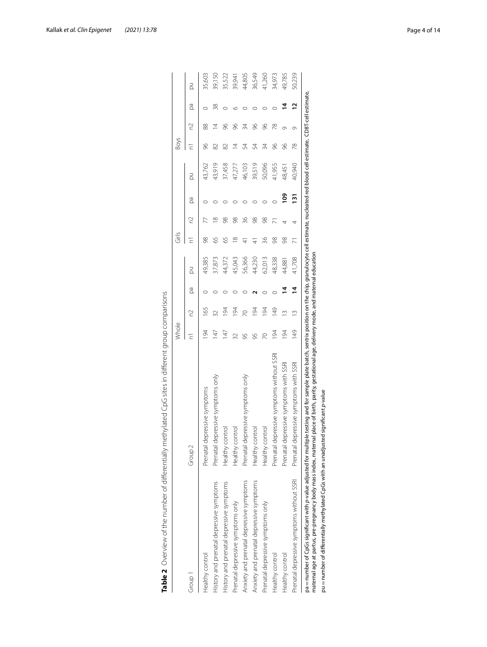|                                           |                                           | Whole          |                 |    |        | Girls         |          |                  |        | Boys |    |                |        |
|-------------------------------------------|-------------------------------------------|----------------|-----------------|----|--------|---------------|----------|------------------|--------|------|----|----------------|--------|
| Group 1                                   | Group <sub>2</sub>                        | Ξ              | 2               | ρã | PÓ     | Ξ             | 2        | βã               | Ř      |      | 2  | pa             | Ř      |
| Healthy control                           | Prenatal depressive symptoms              | 94             | 165             |    | 49,385 | $\frac{8}{2}$ |          |                  | 43,762 | 96   | 88 |                | 35,603 |
| History and prenatal depressive symptoms  | Prenatal depressive symptoms only         | $\overline{4}$ | $\overline{32}$ |    | 37,873 | 59            | $\infty$ |                  | 43,919 | 82   | Ξ  | 38             | 39,150 |
| History and prenatal depressive symptoms  | Healthy control                           | 147            | 194             |    | 44,372 | 59            | 98       |                  | 37,458 | 82   | S  |                | 35,522 |
| Prenatal depressive symptoms only         | Healthy control                           |                | 194             |    | 45,043 | ≌             | 98       |                  | 47,277 | ⋣    | 8  | G              | 39,941 |
| Anxiety and prenatal depressive symptoms  | Prenatal depressive symptoms only         | 95             | 20              |    | 56,366 | $\frac{4}{3}$ | 36       |                  | 46,103 | 54   | 34 |                | 44,805 |
| Anxiety and prenatal depressive symptoms  | Healthy control                           | 95             | 194             |    | 44,230 | $\frac{4}{7}$ | 98       |                  | 39,519 | 54   | 8  |                | 36,549 |
| Prenatal depressive symptoms only         | Healthy control                           |                | 194             |    | 62,013 | 36            | 98       |                  | 50,096 | 34   | 96 |                | 41,260 |
| Healthy control                           | Prenatal depressive symptoms without SSRI | 194            | 149             |    | 48,338 | 98            |          |                  | 41,955 | 8    | 78 |                | 34,973 |
| Healthy control                           | Prenatal depressive symptoms with SSRI    | 194            |                 | 4  | 44,881 | 98            | 4        | ို               | 48,451 | 86   | Ō  | ₫              | 49,785 |
| Prenatal depressive symptoms without SSRI | Prenatal depressive symptoms with SSRI    | 149            | $\frac{1}{2}$   | ₫  | 41,708 |               | 4        | $\overline{131}$ | 40,940 | 78   | ത  | $\overline{1}$ | 50,239 |

<span id="page-3-0"></span>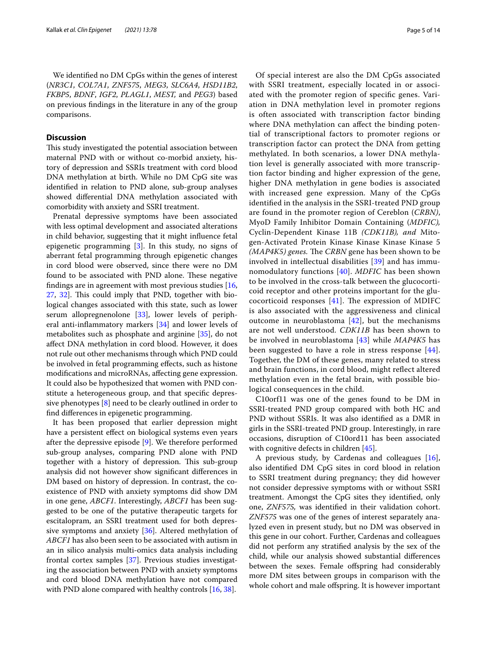We identifed no DM CpGs within the genes of interest (*NR3C1*, *COL7A1*, *ZNF575*, *MEG3*, *SLC6A4*, *HSD11B2*, *FKBP5*, *BDNF*, *IGF2*, *PLAGL1*, *MEST,* and *PEG3*) based on previous fndings in the literature in any of the group comparisons.

## **Discussion**

This study investigated the potential association between maternal PND with or without co-morbid anxiety, history of depression and SSRIs treatment with cord blood DNA methylation at birth. While no DM CpG site was identifed in relation to PND alone, sub-group analyses showed diferential DNA methylation associated with comorbidity with anxiety and SSRI treatment.

Prenatal depressive symptoms have been associated with less optimal development and associated alterations in child behavior, suggesting that it might infuence fetal epigenetic programming [[3\]](#page-11-2). In this study, no signs of aberrant fetal programming through epigenetic changes in cord blood were observed, since there were no DM found to be associated with PND alone. These negative fndings are in agreement with most previous studies [\[16](#page-12-7), [27,](#page-12-16) [32\]](#page-12-22). This could imply that PND, together with biological changes associated with this state, such as lower serum allopregnenolone [\[33](#page-12-23)], lower levels of peripheral anti-infammatory markers [\[34](#page-12-24)] and lower levels of metabolites such as phosphate and arginine [[35\]](#page-12-25), do not afect DNA methylation in cord blood. However, it does not rule out other mechanisms through which PND could be involved in fetal programming efects, such as histone modifcations and microRNAs, afecting gene expression. It could also be hypothesized that women with PND constitute a heterogeneous group, and that specifc depressive phenotypes [\[8](#page-11-7)] need to be clearly outlined in order to fnd diferences in epigenetic programming.

It has been proposed that earlier depression might have a persistent efect on biological systems even years after the depressive episode [[9\]](#page-12-0). We therefore performed sub-group analyses, comparing PND alone with PND together with a history of depression. This sub-group analysis did not however show signifcant diferences in DM based on history of depression. In contrast, the coexistence of PND with anxiety symptoms did show DM in one gene, *ABCF1*. Interestingly, *ABCF1* has been suggested to be one of the putative therapeutic targets for escitalopram, an SSRI treatment used for both depressive symptoms and anxiety [[36](#page-12-26)]. Altered methylation of *ABCF1* has also been seen to be associated with autism in an in silico analysis multi-omics data analysis including frontal cortex samples [\[37](#page-12-27)]. Previous studies investigating the association between PND with anxiety symptoms and cord blood DNA methylation have not compared with PND alone compared with healthy controls [\[16](#page-12-7), [38](#page-12-28)].

Of special interest are also the DM CpGs associated with SSRI treatment, especially located in or associated with the promoter region of specifc genes. Variation in DNA methylation level in promoter regions is often associated with transcription factor binding where DNA methylation can affect the binding potential of transcriptional factors to promoter regions or transcription factor can protect the DNA from getting methylated. In both scenarios, a lower DNA methylation level is generally associated with more transcription factor binding and higher expression of the gene, higher DNA methylation in gene bodies is associated with increased gene expression. Many of the CpGs identifed in the analysis in the SSRI-treated PND group are found in the promoter region of Cereblon (*CRBN)*, MyoD Family Inhibitor Domain Containing (*MDFIC),* Cyclin-Dependent Kinase 11B *(CDK11B), and* Mitogen-Activated Protein Kinase Kinase Kinase Kinase 5 *(MAP4K5) genes.* The *CRBN* gene has been shown to be involved in intellectual disabilities [[39](#page-12-29)] and has immunomodulatory functions [[40](#page-12-30)]. *MDFIC* has been shown to be involved in the cross-talk between the glucocorticoid receptor and other proteins important for the glucocorticoid responses  $[41]$ . The expression of MDIFC is also associated with the aggressiveness and clinical outcome in neuroblastoma [[42\]](#page-12-32), but the mechanisms are not well understood. *CDK11B* has been shown to be involved in neuroblastoma [\[43](#page-12-33)] while *MAP4K5* has been suggested to have a role in stress response [[44](#page-12-34)]. Together, the DM of these genes, many related to stress and brain functions, in cord blood, might refect altered methylation even in the fetal brain, with possible biological consequences in the child.

C10orf11 was one of the genes found to be DM in SSRI-treated PND group compared with both HC and PND without SSRIs. It was also identifed as a DMR in girls in the SSRI-treated PND group. Interestingly, in rare occasions, disruption of C10ord11 has been associated with cognitive defects in children [[45\]](#page-12-35).

A previous study, by Cardenas and colleagues [\[16](#page-12-7)], also identifed DM CpG sites in cord blood in relation to SSRI treatment during pregnancy; they did however not consider depressive symptoms with or without SSRI treatment. Amongst the CpG sites they identifed, only one, *ZNF575,* was identifed in their validation cohort. *ZNF575* was one of the genes of interest separately analyzed even in present study, but no DM was observed in this gene in our cohort. Further, Cardenas and colleagues did not perform any stratifed analysis by the sex of the child, while our analysis showed substantial diferences between the sexes. Female offspring had considerably more DM sites between groups in comparison with the whole cohort and male ofspring. It is however important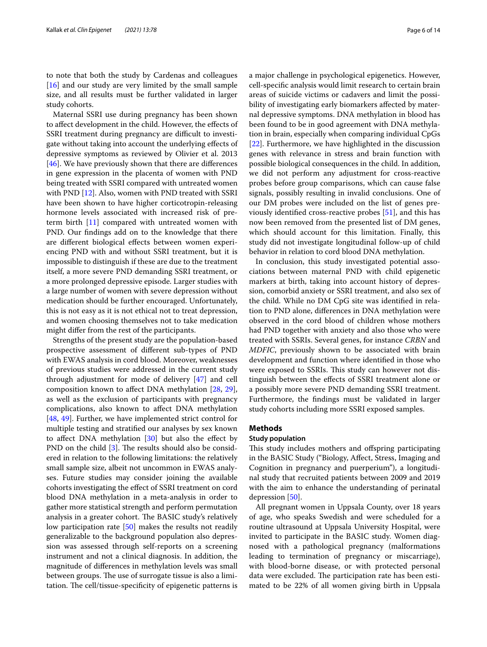to note that both the study by Cardenas and colleagues [[16\]](#page-12-7) and our study are very limited by the small sample size, and all results must be further validated in larger study cohorts.

Maternal SSRI use during pregnancy has been shown to afect development in the child. However, the efects of SSRI treatment during pregnancy are difficult to investigate without taking into account the underlying efects of depressive symptoms as reviewed by Olivier et al. 2013 [[46\]](#page-12-36). We have previously shown that there are differences in gene expression in the placenta of women with PND being treated with SSRI compared with untreated women with PND [\[12\]](#page-12-3). Also, women with PND treated with SSRI have been shown to have higher corticotropin-releasing hormone levels associated with increased risk of preterm birth [[11](#page-12-2)] compared with untreated women with PND. Our fndings add on to the knowledge that there are diferent biological efects between women experiencing PND with and without SSRI treatment, but it is impossible to distinguish if these are due to the treatment itself, a more severe PND demanding SSRI treatment, or a more prolonged depressive episode. Larger studies with a large number of women with severe depression without medication should be further encouraged. Unfortunately, this is not easy as it is not ethical not to treat depression, and women choosing themselves not to take medication might difer from the rest of the participants.

Strengths of the present study are the population-based prospective assessment of diferent sub-types of PND with EWAS analysis in cord blood. Moreover, weaknesses of previous studies were addressed in the current study through adjustment for mode of delivery [[47\]](#page-12-37) and cell composition known to afect DNA methylation [\[28,](#page-12-17) [29](#page-12-18)], as well as the exclusion of participants with pregnancy complications, also known to afect DNA methylation [[48,](#page-12-38) [49\]](#page-13-0). Further, we have implemented strict control for multiple testing and stratifed our analyses by sex known to affect DNA methylation  $[30]$  $[30]$  but also the effect by PND on the child  $[3]$  $[3]$ . The results should also be considered in relation to the following limitations: the relatively small sample size, albeit not uncommon in EWAS analyses. Future studies may consider joining the available cohorts investigating the efect of SSRI treatment on cord blood DNA methylation in a meta-analysis in order to gather more statistical strength and perform permutation analysis in a greater cohort. The BASIC study's relatively low participation rate [\[50](#page-13-1)] makes the results not readily generalizable to the background population also depression was assessed through self-reports on a screening instrument and not a clinical diagnosis. In addition, the magnitude of diferences in methylation levels was small between groups. The use of surrogate tissue is also a limitation. The cell/tissue-specificity of epigenetic patterns is a major challenge in psychological epigenetics. However, cell-specifc analysis would limit research to certain brain areas of suicide victims or cadavers and limit the possibility of investigating early biomarkers afected by maternal depressive symptoms. DNA methylation in blood has been found to be in good agreement with DNA methylation in brain, especially when comparing individual CpGs [[22\]](#page-12-12). Furthermore, we have highlighted in the discussion genes with relevance in stress and brain function with possible biological consequences in the child. In addition, we did not perform any adjustment for cross-reactive probes before group comparisons, which can cause false signals, possibly resulting in invalid conclusions. One of our DM probes were included on the list of genes previously identifed cross-reactive probes [[51\]](#page-13-2), and this has now been removed from the presented list of DM genes, which should account for this limitation. Finally, this study did not investigate longitudinal follow-up of child behavior in relation to cord blood DNA methylation.

In conclusion, this study investigated potential associations between maternal PND with child epigenetic markers at birth, taking into account history of depression, comorbid anxiety or SSRI treatment, and also sex of the child. While no DM CpG site was identifed in relation to PND alone, diferences in DNA methylation were observed in the cord blood of children whose mothers had PND together with anxiety and also those who were treated with SSRIs. Several genes, for instance *CRBN* and *MDFIC*, previously shown to be associated with brain development and function where identifed in those who were exposed to SSRIs. This study can however not distinguish between the efects of SSRI treatment alone or a possibly more severe PND demanding SSRI treatment. Furthermore, the fndings must be validated in larger study cohorts including more SSRI exposed samples.

## **Methods**

## **Study population**

This study includes mothers and offspring participating in the BASIC Study ("Biology, Afect, Stress, Imaging and Cognition in pregnancy and puerperium"), a longitudinal study that recruited patients between 2009 and 2019 with the aim to enhance the understanding of perinatal depression [\[50](#page-13-1)].

All pregnant women in Uppsala County, over 18 years of age, who speaks Swedish and were scheduled for a routine ultrasound at Uppsala University Hospital, were invited to participate in the BASIC study. Women diagnosed with a pathological pregnancy (malformations leading to termination of pregnancy or miscarriage), with blood-borne disease, or with protected personal data were excluded. The participation rate has been estimated to be 22% of all women giving birth in Uppsala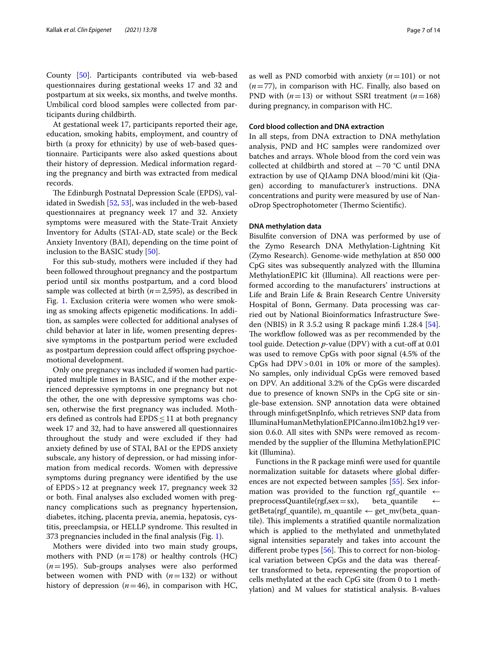County [[50\]](#page-13-1). Participants contributed via web-based questionnaires during gestational weeks 17 and 32 and postpartum at six weeks, six months, and twelve months. Umbilical cord blood samples were collected from participants during childbirth.

At gestational week 17, participants reported their age, education, smoking habits, employment, and country of birth (a proxy for ethnicity) by use of web-based questionnaire. Participants were also asked questions about their history of depression. Medical information regarding the pregnancy and birth was extracted from medical records.

The Edinburgh Postnatal Depression Scale (EPDS), validated in Swedish [[52,](#page-13-3) [53](#page-13-4)], was included in the web-based questionnaires at pregnancy week 17 and 32. Anxiety symptoms were measured with the State-Trait Anxiety Inventory for Adults (STAI-AD, state scale) or the Beck Anxiety Inventory (BAI), depending on the time point of inclusion to the BASIC study [\[50](#page-13-1)].

For this sub-study, mothers were included if they had been followed throughout pregnancy and the postpartum period until six months postpartum, and a cord blood sample was collected at birth (*n*=2,595), as described in Fig. [1](#page-7-0). Exclusion criteria were women who were smoking as smoking afects epigenetic modifcations. In addition, as samples were collected for additional analyses of child behavior at later in life, women presenting depressive symptoms in the postpartum period were excluded as postpartum depression could afect ofspring psychoemotional development.

Only one pregnancy was included if women had participated multiple times in BASIC, and if the mother experienced depressive symptoms in one pregnancy but not the other, the one with depressive symptoms was chosen, otherwise the frst pregnancy was included. Mothers defined as controls had  $EPDS \leq 11$  at both pregnancy week 17 and 32, had to have answered all questionnaires throughout the study and were excluded if they had anxiety defned by use of STAI, BAI or the EPDS anxiety subscale, any history of depression, or had missing information from medical records. Women with depressive symptoms during pregnancy were identifed by the use of EPDS>12 at pregnancy week 17, pregnancy week 32 or both. Final analyses also excluded women with pregnancy complications such as pregnancy hypertension, diabetes, itching, placenta previa, anemia, hepatosis, cystitis, preeclampsia, or HELLP syndrome. This resulted in 373 pregnancies included in the fnal analysis (Fig. [1](#page-7-0)).

Mothers were divided into two main study groups, mothers with PND  $(n=178)$  or healthy controls  $(HC)$ (*n*=195). Sub-groups analyses were also performed between women with PND with (*n*=132) or without history of depression  $(n=46)$ , in comparison with HC, as well as PND comorbid with anxiety (*n*=101) or not (*n*=77), in comparison with HC. Finally, also based on PND with (*n*=13) or without SSRI treatment (*n*=168) during pregnancy, in comparison with HC.

## **Cord blood collection and DNA extraction**

In all steps, from DNA extraction to DNA methylation analysis, PND and HC samples were randomized over batches and arrays. Whole blood from the cord vein was collected at childbirth and stored at −70 °C until DNA extraction by use of QIAamp DNA blood/mini kit (Qiagen) according to manufacturer's instructions. DNA concentrations and purity were measured by use of NanoDrop Spectrophotometer (Thermo Scientific).

## **DNA methylation data**

Bisulfte conversion of DNA was performed by use of the Zymo Research DNA Methylation-Lightning Kit (Zymo Research). Genome-wide methylation at 850 000 CpG sites was subsequently analyzed with the Illumina MethylationEPIC kit (Illumina). All reactions were performed according to the manufacturers' instructions at Life and Brain Life & Brain Research Centre University Hospital of Bonn, Germany. Data processing was carried out by National Bioinformatics Infrastructure Sweden (NBIS) in R 3.5.2 using R package minf 1.28.4 [\[54](#page-13-5)]. The workflow followed was as per recommended by the tool guide. Detection *p*-value (DPV) with a cut-off at 0.01 was used to remove CpGs with poor signal (4.5% of the CpGs had DPV>0.01 in 10% or more of the samples). No samples, only individual CpGs were removed based on DPV. An additional 3.2% of the CpGs were discarded due to presence of known SNPs in the CpG site or single-base extension. SNP annotation data were obtained through minf:getSnpInfo, which retrieves SNP data from IlluminaHumanMethylationEPICanno.ilm10b2.hg19 version 0.6.0. All sites with SNPs were removed as recommended by the supplier of the Illumina MethylationEPIC kit (Illumina).

Functions in the R package minf were used for quantile normalization suitable for datasets where global diferences are not expected between samples [[55](#page-13-6)]. Sex information was provided to the function rgf\_quantile  $\leftarrow$  preprocessQuantile(rgf,sex = sx), beta\_quantile  $\leftarrow$  $preprocessQuantile (rgf, sex=sx),$  $getBeta(rgf_quantile)$ , m\_quantile  $\leftarrow$  get\_mv(beta\_quantile). This implements a stratified quantile normalization which is applied to the methylated and unmethylated signal intensities separately and takes into account the different probe types  $[56]$  $[56]$  $[56]$ . This to correct for non-biological variation between CpGs and the data was thereafter transformed to beta, representing the proportion of cells methylated at the each CpG site (from 0 to 1 methylation) and M values for statistical analysis. B-values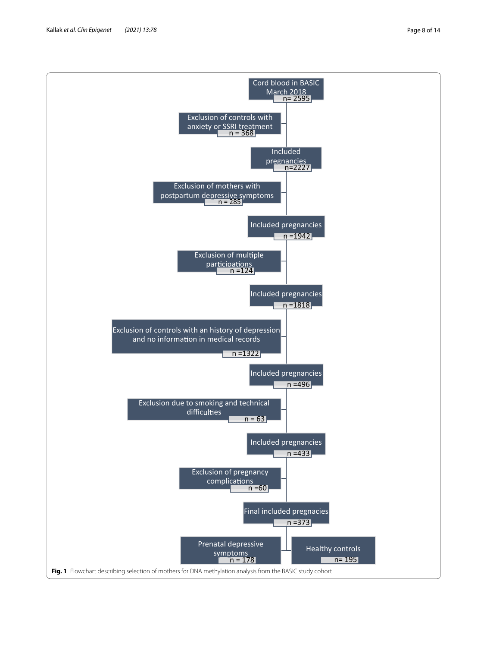<span id="page-7-0"></span>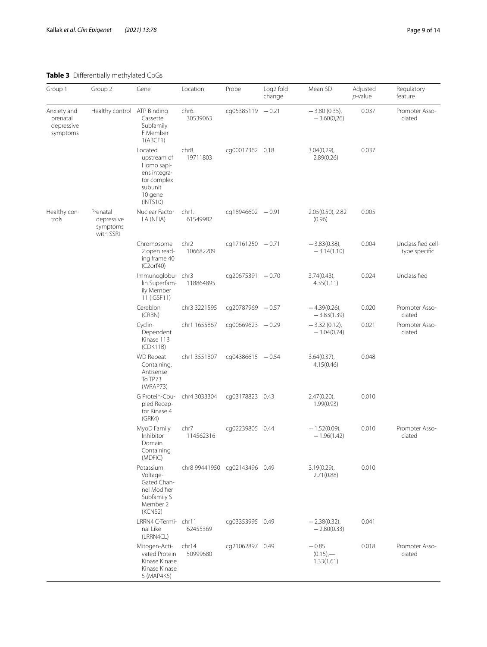## <span id="page-8-0"></span>**Table 3** Diferentially methylated CpGs

| Group 1                                                      | Group 2                     | Gene                                                                                                  | Location                       | Probe              | Log <sub>2</sub> fold<br>change | Mean SD                              | Adjusted<br>p-value | Regulatory<br>feature               |
|--------------------------------------------------------------|-----------------------------|-------------------------------------------------------------------------------------------------------|--------------------------------|--------------------|---------------------------------|--------------------------------------|---------------------|-------------------------------------|
| Anxiety and<br>prenatal<br>depressive<br>symptoms            | Healthy control ATP Binding | Cassette<br>Subfamily<br>F Member<br>1(ABCF1)                                                         | chr <sub>6</sub> .<br>30539063 | cg05385119 - 0.21  |                                 | $-3.80(0.35)$ ,<br>$-3,60(0,26)$     | 0.037               | Promoter Asso-<br>ciated            |
|                                                              |                             | Located<br>upstream of<br>Homo sapi-<br>ens integra-<br>tor complex<br>subunit<br>10 gene<br>(INTS10) | chr8.<br>19711803              | cg00017362 0.18    |                                 | $3.04(0,29)$ ,<br>2,89(0.26)         | 0.037               |                                     |
| Healthy con-<br>trols<br>depressive<br>symptoms<br>with SSRI | Prenatal                    | Nuclear Factor<br>I A (NFIA)                                                                          | chr1.<br>61549982              | cq18946602 $-0.91$ |                                 | 2.05(0.50), 2.82<br>(0.96)           | 0.005               |                                     |
|                                                              |                             | Chromosome<br>2 open read-<br>ing frame 40<br>(C2orf40)                                               | chr <sub>2</sub><br>106682209  | $cq17161250 -0.71$ |                                 | $-3.83(0.38)$ ,<br>$-3.14(1.10)$     | 0.004               | Unclassified cell-<br>type specific |
|                                                              |                             | Immunoglobu-chr3<br>lin Superfam-<br>ily Member<br>11 (IGSF11)                                        | 118864895                      | cq20675391 - 0.70  |                                 | $3.74(0.43)$ ,<br>4.35(1.11)         | 0.024               | Unclassified                        |
|                                                              |                             | Cereblon<br>(CRBN)                                                                                    | chr3 3221595                   | cq20787969 - 0.57  |                                 | $-4.39(0.26)$ ,<br>$-3.83(1.39)$     | 0.020               | Promoter Asso-<br>ciated            |
|                                                              |                             | Cyclin-<br>Dependent<br>Kinase 11B<br>(CDK11B)                                                        | chr1 1655867                   | cg00669623 - 0.29  |                                 | $-3.32(0.12),$<br>$-3.04(0.74)$      | 0.021               | Promoter Asso-<br>ciated            |
|                                                              |                             | <b>WD</b> Repeat<br>Containing.<br>Antisense<br>To TP73<br>(WRAP73)                                   | chr1 3551807                   | $cq04386615 -0.54$ |                                 | $3.64(0.37)$ ,<br>4.15(0.46)         | 0.048               |                                     |
|                                                              |                             | G Protein-Cou-<br>pled Recep-<br>tor Kinase 4<br>(GRK4)                                               | chr4 3033304                   | cg03178823 0.43    |                                 | $2.47(0.20)$ ,<br>1.99(0.93)         | 0.010               |                                     |
|                                                              |                             | MyoD Family<br>Inhibitor<br>Domain<br>Containing<br>(MDFIC)                                           | chr7<br>114562316              | cg02239805 0.44    |                                 | $-1.52(0.09)$ ,<br>$-1.96(1.42)$     | 0.010               | Promoter Asso-<br>ciated            |
|                                                              |                             | Potassium<br>Voltage-<br>Gated Chan-<br>nel Modifier<br>Subfamily S<br>Member 2<br>(KCNS2)            | chr8 99441950 cg02143496 0.49  |                    |                                 | $3.19(0.29)$ ,<br>2.71(0.88)         | 0.010               |                                     |
|                                                              |                             | LRRN4 C-Termi- chr11<br>nal Like<br>(LRRN4CL)                                                         | 62455369                       | cq03353995 0.49    |                                 | $-2,38(0.32),$<br>$-2,80(0.33)$      | 0.041               |                                     |
|                                                              |                             | Mitogen-Acti-<br>vated Protein<br>Kinase Kinase<br>Kinase Kinase<br>5 (MAP4K5)                        | chr14<br>50999680              | cg21062897 0.49    |                                 | $-0.85$<br>$(0.15)$ ,-<br>1.33(1.61) | 0.018               | Promoter Asso-<br>ciated            |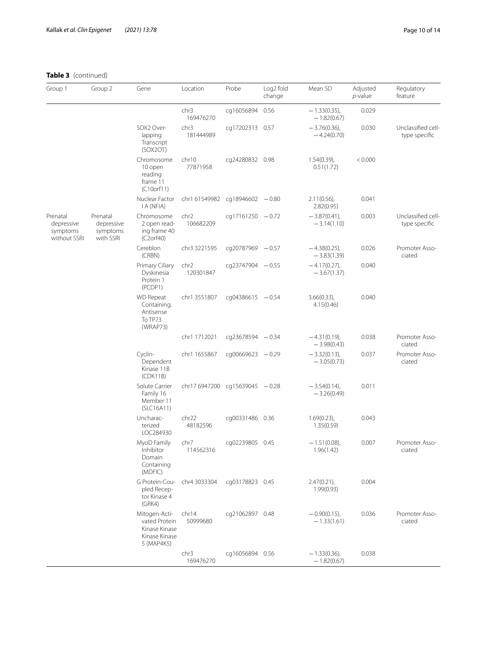## **Table 3** (continued)

| Group 1                                            | Group 2                                         | Gene                                                                           | Location                        | Probe              | Log <sub>2</sub> fold<br>change | Mean SD                          | Adjusted<br>p-value | Regulatory<br>feature               |
|----------------------------------------------------|-------------------------------------------------|--------------------------------------------------------------------------------|---------------------------------|--------------------|---------------------------------|----------------------------------|---------------------|-------------------------------------|
|                                                    |                                                 |                                                                                | chr3<br>169476270               | cq16056894         | 0.56                            | $-1.33(0.35)$ ,<br>$-1.82(0.67)$ | 0.029               |                                     |
|                                                    |                                                 | SOX2 Over-<br>lapping<br>Transcript<br>(SOX2OT)                                | chr3<br>181444989               | cg17202313 0.57    |                                 | $-3.76(0.36)$<br>$-4.24(0.70)$   | 0.030               | Unclassified cell-<br>type specific |
|                                                    |                                                 | Chromosome<br>10 open<br>reading<br>frame 11<br>(C10orf11)                     | chr10<br>77871958               | cg24280832 0.98    |                                 | $1.54(0.39)$ ,<br>0.51(1.72)     | < 0.000             |                                     |
|                                                    |                                                 | Nuclear Factor<br>I A (NFIA)                                                   | chr1 61549982 cg18946602 - 0.80 |                    |                                 | $2.11(0.56)$ ,<br>2.82(0.95)     | 0.041               |                                     |
| Prenatal<br>depressive<br>symptoms<br>without SSRI | Prenatal<br>depressive<br>symptoms<br>with SSRI | Chromosome<br>2 open read-<br>ing frame 40<br>(C2orf40)                        | chr <sub>2</sub><br>106682209   | cq17161250 $-0.72$ |                                 | $-3.87(0.41)$ ,<br>$-3.14(1.10)$ | 0.003               | Unclassified cell-<br>type specific |
|                                                    |                                                 | Cereblon<br>(CRBN)                                                             | chr3 3221595                    | cq20787969 - 0.57  |                                 | $-4.38(0.25)$ ,<br>$-3.83(1.39)$ | 0.026               | Promoter Asso-<br>ciated            |
|                                                    |                                                 | Primary Ciliary<br>Dyskinesia<br>Protein 1<br>(PCDP1)                          | chr <sub>2</sub><br>120301847   | cq23747904 - 0.55  |                                 | $-4.17(0.27)$<br>$-3.67(1.37)$   | 0.040               |                                     |
|                                                    |                                                 | <b>WD</b> Repeat<br>Containing.<br>Antisense<br>To TP73<br>(WRAP73)            | chr1 3551807                    | cq04386615 $-0.54$ |                                 | $3.66(0.33)$ ,<br>4.15(0.46)     | 0.040               |                                     |
|                                                    |                                                 |                                                                                | chr1 1712021                    | cq23678594 - 0.34  |                                 | $-4.31(0.19),$<br>$-3.98(0.43)$  | 0.038               | Promoter Asso-<br>ciated            |
|                                                    |                                                 | Cyclin-<br>Dependent<br>Kinase 11B<br>(CDK11B)                                 | chr1 1655867                    | cg00669623 - 0.29  |                                 | $-3.32(0.13),$<br>$-3.05(0.73)$  | 0.037               | Promoter Asso-<br>ciated            |
|                                                    |                                                 | Solute Carrier<br>Family 16<br>Member 11<br>(SLC16A11)                         | chr17 6947200 cg15639045 - 0.28 |                    |                                 | $-3.54(0.14)$ ,<br>$-3.26(0.49)$ | 0.011               |                                     |
|                                                    |                                                 | Uncharac-<br>terized<br>LOC284930                                              | chr22<br>48182596               | cq00331486 0.36    |                                 | $1.69(0.23)$ ,<br>1.35(0.59)     | 0.043               |                                     |
|                                                    |                                                 | MyoD Family<br>Inhibitor<br>Domain<br>Containing<br>(MDFIC)                    | chr7<br>114562316               | cg02239805 0.45    |                                 | $-1.51(0.08)$<br>1.96(1.42)      | 0.007               | Promoter Asso-<br>ciated            |
|                                                    |                                                 | G Protein-Cou-<br>pled Recep-<br>tor Kinase 4<br>(GRK4)                        | chr4 3033304                    | cq03178823 0.45    |                                 | $2.47(0.21)$ ,<br>1.99(0.93)     | 0.004               |                                     |
|                                                    |                                                 | Mitogen-Acti-<br>vated Protein<br>Kinase Kinase<br>Kinase Kinase<br>5 (MAP4K5) | chr14<br>50999680               | cq21062897 0.48    |                                 | $-0.90(0.15)$ ,<br>$-1.33(1.61)$ | 0.036               | Promoter Asso-<br>ciated            |
|                                                    |                                                 |                                                                                | chr3<br>169476270               | cq16056894 0.56    |                                 | $-1.33(0.36),$<br>$-1.82(0.67)$  | 0.038               |                                     |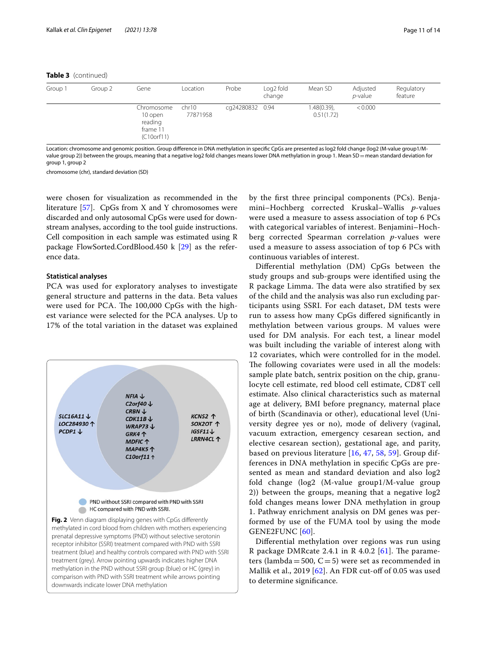## **Table 3** (continued)

| Group 1 | Group 2 | Gene                                                       | Location          | Probe           | Log <sub>2</sub> fold<br>change | Mean SD                   | Adjusted<br><i>p</i> -value | Regulatory<br>feature |
|---------|---------|------------------------------------------------------------|-------------------|-----------------|---------------------------------|---------------------------|-----------------------------|-----------------------|
|         |         | Chromosome<br>10 open<br>reading<br>frame 11<br>(C10orf11) | chr10<br>77871958 | cq24280832 0.94 |                                 | 1.48(0.39),<br>0.51(1.72) | < 0.000                     |                       |

Location: chromosome and genomic position. Group diference in DNA methylation in specifc CpGs are presented as log2 fold change (log2 (M-value group1/Mvalue group 2)) between the groups, meaning that a negative log2 fold changes means lower DNA methylation in group 1. Mean SD = mean standard deviation for group 1, group 2

chromosome (chr), standard deviation (SD)

were chosen for visualization as recommended in the literature [[57\]](#page-13-8). CpGs from X and Y chromosomes were discarded and only autosomal CpGs were used for downstream analyses, according to the tool guide instructions. Cell composition in each sample was estimated using R package FlowSorted.CordBlood.450 k [\[29](#page-12-18)] as the reference data.

## **Statistical analyses**

PCA was used for exploratory analyses to investigate general structure and patterns in the data. Beta values were used for PCA. The 100,000 CpGs with the highest variance were selected for the PCA analyses. Up to 17% of the total variation in the dataset was explained

<span id="page-10-0"></span>

by the frst three principal components (PCs). Benjamini–Hochberg corrected Kruskal–Wallis *p*-values were used a measure to assess association of top 6 PCs with categorical variables of interest. Benjamini–Hochberg corrected Spearman correlation *p*-values were used a measure to assess association of top 6 PCs with continuous variables of interest.

Diferential methylation (DM) CpGs between the study groups and sub-groups were identifed using the R package Limma. The data were also stratified by sex of the child and the analysis was also run excluding participants using SSRI. For each dataset, DM tests were run to assess how many CpGs difered signifcantly in methylation between various groups. M values were used for DM analysis. For each test, a linear model was built including the variable of interest along with 12 covariates, which were controlled for in the model. The following covariates were used in all the models: sample plate batch, sentrix position on the chip, granulocyte cell estimate, red blood cell estimate, CD8T cell estimate. Also clinical characteristics such as maternal age at delivery, BMI before pregnancy, maternal place of birth (Scandinavia or other), educational level (University degree yes or no), mode of delivery (vaginal, vacuum extraction, emergency cesarean section, and elective cesarean section), gestational age, and parity, based on previous literature [\[16](#page-12-7), [47,](#page-12-37) [58,](#page-13-9) [59](#page-13-10)]. Group differences in DNA methylation in specifc CpGs are presented as mean and standard deviation and also log2 fold change (log2 (M-value group1/M-value group 2)) between the groups, meaning that a negative log2 fold changes means lower DNA methylation in group 1. Pathway enrichment analysis on DM genes was performed by use of the FUMA tool by using the mode GENE2FUNC [[60\]](#page-13-11).

Diferential methylation over regions was run using R package DMRcate 2.4.1 in R 4.0.2  $[61]$ . The parameters (lambda = 500,  $C = 5$ ) were set as recommended in Mallik et al., 2019  $[62]$  $[62]$  $[62]$ . An FDR cut-off of 0.05 was used to determine signifcance.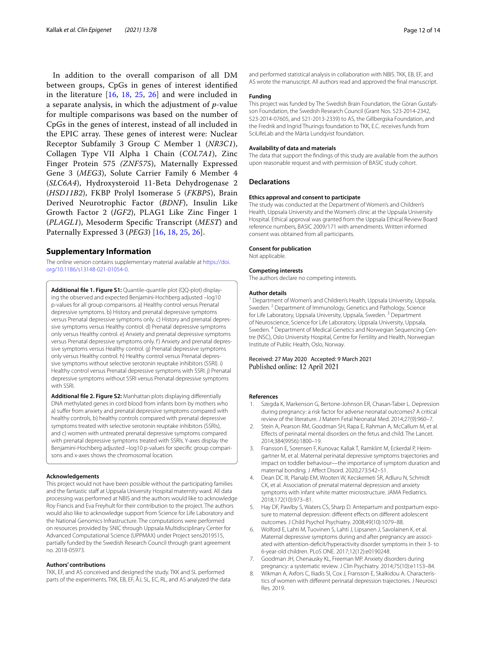In addition to the overall comparison of all DM between groups, CpGs in genes of interest identifed in the literature [\[16](#page-12-7), [18,](#page-12-8) [25](#page-12-15), [26](#page-12-39)] and were included in a separate analysis, in which the adjustment of *p*-value for multiple comparisons was based on the number of CpGs in the genes of interest, instead of all included in the EPIC array. These genes of interest were: Nuclear Receptor Subfamily 3 Group C Member 1 (*NR3C1*), Collagen Type VII Alpha 1 Chain (*COL7A1*), Zinc Finger Protein 575 *(ZNF575*), Maternally Expressed Gene 3 (*MEG3*), Solute Carrier Family 6 Member 4 (*SLC6A4*), Hydroxysteroid 11-Beta Dehydrogenase 2 (*HSD11B2*), FKBP Prolyl Isomerase 5 (*FKBP5*), Brain Derived Neurotrophic Factor (*BDNF*), Insulin Like Growth Factor 2 (*IGF2*), PLAG1 Like Zinc Finger 1 (*PLAGL1*), Mesoderm Specifc Transcript (*MEST*) and Paternally Expressed 3 (*PEG3*) [[16](#page-12-7), [18](#page-12-8), [25](#page-12-15), [26](#page-12-39)].

#### **Supplementary Information**

The online version contains supplementary material available at [https://doi.](https://doi.org/10.1186/s13148-021-01054-0) [org/10.1186/s13148-021-01054-0](https://doi.org/10.1186/s13148-021-01054-0).

<span id="page-11-8"></span>**Additional fle 1. Figure S1:** Quantile-quantile plot (QQ-plot) displaying the observed and expected Benjamini-Hochberg adjusted –log10 p-values for all group comparisons. a) Healthy control versus Prenatal depressive symptoms. b) History and prenatal depressive symptoms versus Prenatal depressive symptoms only. c) History and prenatal depressive symptoms versus Healthy control. d) Prenatal depressive symptoms only versus Healthy control. e) Anxiety and prenatal depressive symptoms versus Prenatal depressive symptoms only. f) Anxiety and prenatal depressive symptoms versus Healthy control. g) Prenatal depressive symptoms only versus Healthy control. h) Healthy control versus Prenatal depressive symptoms without selective serotonin reuptake inhibitors (SSRI). i) Healthy control versus Prenatal depressive symptoms with SSRI. j) Prenatal depressive symptoms without SSRI versus Prenatal depressive symptoms with SSRI.

<span id="page-11-9"></span>**Additional fle 2. Figure S2:** Manhattan plots displaying diferentially DNA methylated genes in cord blood from infants born by mothers who a) suffer from anxiety and prenatal depressive symptoms compared with healthy controls, b) healthy controls compared with prenatal depressive symptoms treated with selective serotonin reuptake inhibitors (SSRIs), and c) women with untreated prenatal depressive symptoms compared with prenatal depressive symptoms treated with SSRIs. Y-axes display the Benjamini-Hochberg adjusted –log10 p-values for specifc group comparisons and x-axes shows the chromosomal location.

#### **Acknowledgements**

This project would not have been possible without the participating families and the fantastic staff at Uppsala University Hospital maternity ward. All data processing was performed at NBIS and the authors would like to acknowledge Roy Francis and Eva Freyhult for their contribution to the project. The authors would also like to acknowledge support from Science for Life Laboratory and the National Genomics Infrastructure. The computations were performed on resources provided by SNIC through Uppsala Multidisciplinary Center for Advanced Computational Science (UPPMAX) under Project sens2019515, partially funded by the Swedish Research Council through grant agreement no. 2018-05973.

#### **Authors' contributions**

TKK, EF, and AS conceived and designed the study. TKK and SL performed parts of the experiments. TKK, EB, EF, ÅJ, SL, EC, RL, and AS analyzed the data and performed statistical analysis in collaboration with NBIS. TKK, EB, EF, and AS wrote the manuscript. All authors read and approved the fnal manuscript.

#### **Funding**

This project was funded by The Swedish Brain Foundation, the Göran Gustafsson Foundation, the Swedish Research Council (Grant Nos. 523-2014-2342, 523-2014-07605, and 521-2013-2339) to AS, the Gillbergska Foundation, and the Fredrik and Ingrid Thurings foundation to TKK, E.C. receives funds from SciLifeLab and the Märta Lundqvist foundation.

#### **Availability of data and materials**

The data that support the fndings of this study are available from the authors upon reasonable request and with permission of BASIC study cohort.

#### **Declarations**

#### **Ethics approval and consent to participate**

The study was conducted at the Department of Women's and Children's Health, Uppsala University and the Women's clinic at the Uppsala University Hospital. Ethical approval was granted from the Uppsala Ethical Review Board reference numbers, BASIC 2009/171 with amendments. Written informed consent was obtained from all participants.

#### **Consent for publication**

Not applicable.

#### **Competing interests**

The authors declare no competing interests.

#### **Author details**

<sup>1</sup> Department of Women's and Children's Health, Uppsala University, Uppsala, Sweden.<sup>2</sup> Department of Immunology, Genetics and Pathology, Science for Life Laboratory, Uppsala University, Uppsala, Sweden.<sup>3</sup> Department of Neuroscience, Science for Life Laboratory, Uppsala University, Uppsala, Sweden. 4 Department of Medical Genetics and Norwegian Sequencing Centre (NSC), Oslo University Hospital, Centre for Fertility and Health, Norwegian Institute of Public Health, Oslo, Norway.

#### Received: 27 May 2020 Accepted: 9 March 2021 Published online: 12 April 2021

#### **References**

- <span id="page-11-0"></span>Szegda K, Markenson G, Bertone-Johnson ER, Chasan-Taber L. Depression during pregnancy: a risk factor for adverse neonatal outcomes? A critical review of the literature. J Matern Fetal Neonatal Med. 2014;27(9):960–7.
- <span id="page-11-1"></span>2. Stein A, Pearson RM, Goodman SH, Rapa E, Rahman A, McCallum M, et al. Efects of perinatal mental disorders on the fetus and child. The Lancet. 2014;384(9956):1800–19.
- <span id="page-11-2"></span>3. Fransson E, Sorensen F, Kunovac Kallak T, Ramklint M, Eckerdal P, Heimgartner M, et al. Maternal perinatal depressive symptoms trajectories and impact on toddler behaviour—the importance of symptom duration and maternal bonding. J Afect Disord. 2020;273:542–51.
- <span id="page-11-3"></span>Dean DC III, Planalp EM, Wooten W, Kecskemeti SR, Adluru N, Schmidt CK, et al. Association of prenatal maternal depression and anxiety symptoms with infant white matter microstructure. JAMA Pediatrics. 2018;172(10):973–81.
- <span id="page-11-4"></span>5. Hay DF, Pawlby S, Waters CS, Sharp D. Antepartum and postpartum exposure to maternal depression: diferent efects on diferent adolescent outcomes. J Child Psychol Psychiatry. 2008;49(10):1079–88.
- <span id="page-11-5"></span>6. Wolford E, Lahti M, Tuovinen S, Lahti J, Lipsanen J, Savolainen K, et al. Maternal depressive symptoms during and after pregnancy are associated with attention-defcit/hyperactivity disorder symptoms in their 3- to 6-year-old children. PLoS ONE. 2017;12(12):e0190248.
- <span id="page-11-6"></span>7. Goodman JH, Chenausky KL, Freeman MP. Anxiety disorders during pregnancy: a systematic review. J Clin Psychiatry. 2014;75(10):e1153–84.
- <span id="page-11-7"></span>8. Wikman A, Axfors C, Iliadis SI, Cox J, Fransson E, Skalkidou A. Characteristics of women with diferent perinatal depression trajectories. J Neurosci Res. 2019.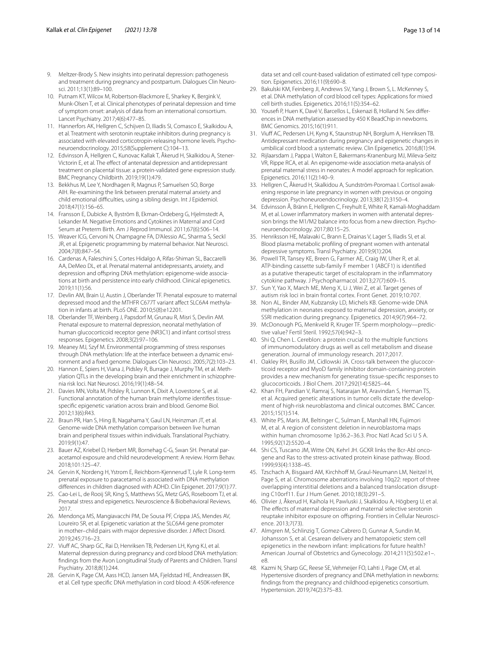- <span id="page-12-0"></span>9. Meltzer-Brody S. New insights into perinatal depression: pathogenesis and treatment during pregnancy and postpartum. Dialogues Clin Neurosci. 2011;13(1):89–100.
- <span id="page-12-1"></span>10. Putnam KT, Wilcox M, Robertson-Blackmore E, Sharkey K, Bergink V, Munk-Olsen T, et al. Clinical phenotypes of perinatal depression and time of symptom onset: analysis of data from an international consortium. Lancet Psychiatry. 2017;4(6):477–85.
- <span id="page-12-2"></span>11. Hannerfors AK, Hellgren C, Schijven D, Iliadis SI, Comasco E, Skalkidou A, et al. Treatment with serotonin reuptake inhibitors during pregnancy is associated with elevated corticotropin-releasing hormone levels. Psychoneuroendocrinology. 2015;58(Supplement C):104–13.
- <span id="page-12-3"></span>12. Edvinsson Å, Hellgren C, Kunovac Kallak T, Åkerud H, Skalkidou A, Stener-Victorin E, et al. The effect of antenatal depression and antidepressant treatment on placental tissue: a protein-validated gene expression study. BMC Pregnancy Childbirth. 2019;19(1):479.
- <span id="page-12-4"></span>13. Bekkhus M, Lee Y, Nordhagen R, Magnus P, Samuelsen SO, Borge AIH. Re-examining the link between prenatal maternal anxiety and child emotional difficulties, using a sibling design. Int J Epidemiol. 2018;47(1):156–65.
- <span id="page-12-5"></span>14. Fransson E, Dubicke A, Byström B, Ekman-Ordeberg G, Hjelmstedt A, Lekander M. Negative Emotions and Cytokines in Maternal and Cord Serum at Preterm Birth. Am J Reprod Immunol. 2011;67(6):506–14.
- <span id="page-12-6"></span>15. Weaver ICG, Cervoni N, Champagne FA, D'Alessio AC, Sharma S, Seckl JR, et al. Epigenetic programming by maternal behavior. Nat Neurosci. 2004;7(8):847–54.
- <span id="page-12-7"></span>16. Cardenas A, Faleschini S, Cortes Hidalgo A, Rifas-Shiman SL, Baccarelli AA, DeMeo DL, et al. Prenatal maternal antidepressants, anxiety, and depression and ofspring DNA methylation: epigenome-wide associations at birth and persistence into early childhood. Clinical epigenetics. 2019;11(1):56.
- <span id="page-12-19"></span>17. Devlin AM, Brain U, Austin J, Oberlander TF. Prenatal exposure to maternal depressed mood and the MTHFR C677T variant affect SLC6A4 methylation in infants at birth. PLoS ONE. 2010;5(8):e12201.
- <span id="page-12-8"></span>18. Oberlander TF, Weinberg J, Papsdorf M, Grunau R, Misri S, Devlin AM. Prenatal exposure to maternal depression, neonatal methylation of human glucocorticoid receptor gene (NR3C1) and infant cortisol stress responses. Epigenetics. 2008;3(2):97–106.
- <span id="page-12-9"></span>19. Meaney MJ, Szyf M. Environmental programming of stress responses through DNA methylation: life at the interface between a dynamic environment and a fxed genome. Dialogues Clin Neurosci. 2005;7(2):103–23.
- <span id="page-12-10"></span>20. Hannon E, Spiers H, Viana J, Pidsley R, Burrage J, Murphy TM, et al. Methylation QTLs in the developing brain and their enrichment in schizophrenia risk loci. Nat Neurosci. 2016;19(1):48–54.
- <span id="page-12-11"></span>21. Davies MN, Volta M, Pidsley R, Lunnon K, Dixit A, Lovestone S, et al. Functional annotation of the human brain methylome identifes tissuespecifc epigenetic variation across brain and blood. Genome Biol. 2012;13(6):R43.
- <span id="page-12-12"></span>22. Braun PR, Han S, Hing B, Nagahama Y, Gaul LN, Heinzman JT, et al. Genome-wide DNA methylation comparison between live human brain and peripheral tissues within individuals. Translational Psychiatry. 2019;9(1):47.
- <span id="page-12-13"></span>23. Bauer AZ, Kriebel D, Herbert MR, Bornehag C-G, Swan SH. Prenatal paracetamol exposure and child neurodevelopment: A review. Horm Behav. 2018;101:125–47.
- <span id="page-12-14"></span>24. Gervin K, Nordeng H, Ystrom E, Reichborn-Kjennerud T, Lyle R. Long-term prenatal exposure to paracetamol is associated with DNA methylation diferences in children diagnosed with ADHD. Clin Epigenet. 2017;9(1):77.
- <span id="page-12-15"></span>25. Cao-Lei L, de Rooij SR, King S, Matthews SG, Metz GAS, Roseboom TJ, et al. Prenatal stress and epigenetics. Neuroscience & Biobehavioral Reviews. 2017.
- <span id="page-12-39"></span>26. Mendonça MS, Mangiavacchi PM, De Sousa PF, Crippa JAS, Mendes AV, Loureiro SR, et al. Epigenetic variation at the SLC6A4 gene promoter in mother–child pairs with major depressive disorder. J Afect Disord. 2019;245:716–23.
- <span id="page-12-16"></span>27. Viuff AC, Sharp GC, Rai D, Henriksen TB, Pedersen LH, Kyng KJ, et al. Maternal depression during pregnancy and cord blood DNA methylation: fndings from the Avon Longitudinal Study of Parents and Children. Transl Psychiatry. 2018;8(1):244.
- <span id="page-12-17"></span>28. Gervin K, Page CM, Aass HCD, Jansen MA, Fjeldstad HE, Andreassen BK, et al. Cell type specifc DNA methylation in cord blood: A 450K-reference

data set and cell count-based validation of estimated cell type composition. Epigenetics. 2016;11(9):690–8.

- <span id="page-12-18"></span>29. Bakulski KM, Feinberg JI, Andrews SV, Yang J, Brown S, L. McKenney S, et al. DNA methylation of cord blood cell types: Applications for mixed cell birth studies. Epigenetics. 2016;11(5):354–62.
- <span id="page-12-20"></span>30. Yousef P, Huen K, Davé V, Barcellos L, Eskenazi B, Holland N. Sex diferences in DNA methylation assessed by 450 K BeadChip in newborns. BMC Genomics. 2015;16(1):911.
- <span id="page-12-21"></span>31. Viuf AC, Pedersen LH, Kyng K, Staunstrup NH, Borglum A, Henriksen TB. Antidepressant medication during pregnancy and epigenetic changes in umbilical cord blood: a systematic review. Clin Epigenetics. 2016;8(1):94.
- <span id="page-12-22"></span>32. Rijlaarsdam J, Pappa I, Walton E, Bakermans-Kranenburg MJ, Mileva-Seitz VR, Rippe RCA, et al. An epigenome-wide association meta-analysis of prenatal maternal stress in neonates: A model approach for replication. Epigenetics. 2016;11(2):140–9.
- <span id="page-12-23"></span>33. Hellgren C, Åkerud H, Skalkidou A, Sundström-Poromaa I. Cortisol awakening response in late pregnancy in women with previous or ongoing depression. Psychoneuroendocrinology. 2013;38(12):3150–4.
- <span id="page-12-24"></span>34. Edvinsson Å, Bränn E, Hellgren C, Freyhult E, White R, Kamali-Moghaddam M, et al. Lower infammatory markers in women with antenatal depression brings the M1/M2 balance into focus from a new direction. Psychoneuroendocrinology. 2017;80:15–25.
- <span id="page-12-25"></span>35. Henriksson HE, Malavaki C, Brann E, Drainas V, Lager S, Iliadis SI, et al. Blood plasma metabolic profling of pregnant women with antenatal depressive symptoms. Transl Psychiatry. 2019;9(1):204.
- <span id="page-12-26"></span>36. Powell TR, Tansey KE, Breen G, Farmer AE, Craig IW, Uher R, et al. ATP-binding cassette sub-family F member 1 (ABCF1) is identifed as a putative therapeutic target of escitalopram in the infammatory cytokine pathway. J Psychopharmacol. 2013;27(7):609–15.
- <span id="page-12-27"></span>37. Sun Y, Yao X, March ME, Meng X, Li J, Wei Z, et al. Target genes of autism risk loci in brain frontal cortex. Front Genet. 2019;10:707.
- <span id="page-12-28"></span>38. Non AL, Binder AM, Kubzansky LD, Michels KB. Genome-wide DNA methylation in neonates exposed to maternal depression, anxiety, or SSRI medication during pregnancy. Epigenetics. 2014;9(7):964–72.
- <span id="page-12-29"></span>39. McDonough PG, Menkveld R, Kruger TF. Sperm morphology—predictive value? Fertil Steril. 1992;57(4):942–3.
- <span id="page-12-30"></span>40. Shi Q, Chen L. Cereblon: a protein crucial to the multiple functions of immunomodulatory drugs as well as cell metabolism and disease generation. Journal of immunology research. 2017;2017.
- <span id="page-12-31"></span>41. Oakley RH, Busillo JM, Cidlowski JA. Cross-talk between the glucocorticoid receptor and MyoD family inhibitor domain-containing protein provides a new mechanism for generating tissue-specifc responses to glucocorticoids. J Biol Chem. 2017;292(14):5825–44.
- <span id="page-12-32"></span>42. Khan FH, Pandian V, Ramraj S, Natarajan M, Aravindan S, Herman TS, et al. Acquired genetic alterations in tumor cells dictate the development of high-risk neuroblastoma and clinical outcomes. BMC Cancer. 2015;15(1):514.
- <span id="page-12-33"></span>43. White PS, Maris JM, Beltinger C, Sulman E, Marshall HN, Fujimori M, et al. A region of consistent deletion in neuroblastoma maps within human chromosome 1p36.2–36.3. Proc Natl Acad Sci U S A. 1995;92(12):5520–4.
- <span id="page-12-34"></span>44. Shi CS, Tuscano JM, Witte ON, Kehrl JH. GCKR links the Bcr-Abl oncogene and Ras to the stress-activated protein kinase pathway. Blood. 1999;93(4):1338–45.
- <span id="page-12-35"></span>45. Tzschach A, Bisgaard AM, Kirchhoff M, Graul-Neumann LM, Neitzel H, Page S, et al. Chromosome aberrations involving 10g22: report of three overlapping interstitial deletions and a balanced translocation disrupting C10orf11. Eur J Hum Genet. 2010;18(3):291–5.
- <span id="page-12-36"></span>46. Olivier J, Åkerud H, Kaihola H, Pawluski J, Skalkidou A, Högberg U, et al. The effects of maternal depression and maternal selective serotonin reuptake inhibitor exposure on ofspring. Frontiers in Cellular Neuroscience. 2013;7(73).
- <span id="page-12-37"></span>47. Almgren M, Schlinzig T, Gomez-Cabrero D, Gunnar A, Sundin M, Johansson S, et al. Cesarean delivery and hematopoietic stem cell epigenetics in the newborn infant: implications for future health? American Journal of Obstetrics and Gynecology. 2014;211(5):502.e1–. e8.
- <span id="page-12-38"></span>48. Kazmi N, Sharp GC, Reese SE, Vehmeijer FO, Lahti J, Page CM, et al. Hypertensive disorders of pregnancy and DNA methylation in newborns: fndings from the pregnancy and childhood epigenetics consortium. Hypertension. 2019;74(2):375–83.